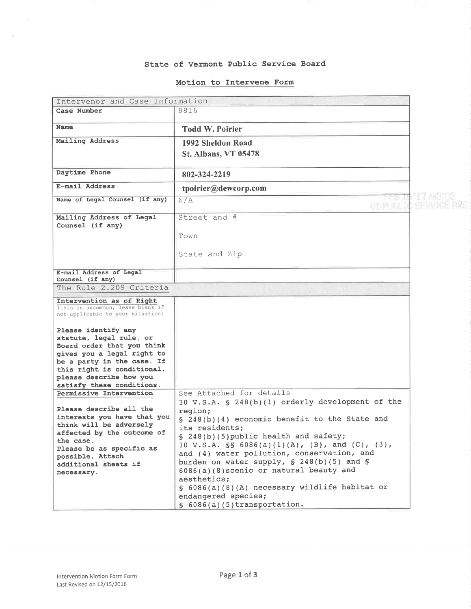#### State of Vermont Public Service Board

#### Motion to Interwene Form

| Intervenor and Case Information                                        |                                                                                               |              |  |  |
|------------------------------------------------------------------------|-----------------------------------------------------------------------------------------------|--------------|--|--|
| Case Number                                                            | 8816                                                                                          |              |  |  |
|                                                                        |                                                                                               |              |  |  |
| Name                                                                   | <b>Todd W. Poirier</b>                                                                        |              |  |  |
| Mailing Address                                                        | 1992 Sheldon Road                                                                             |              |  |  |
|                                                                        | <b>St. Albans, VT 05478</b>                                                                   |              |  |  |
|                                                                        |                                                                                               |              |  |  |
| Daytime Phone                                                          | 802-324-2219                                                                                  |              |  |  |
| E-mail Address                                                         | tpoirier@dewcorp.com                                                                          |              |  |  |
| Name of Legal Counsel (if any)                                         | res u<br>N/A                                                                                  | 21,7 PABI 59 |  |  |
|                                                                        | UT PUBLIC                                                                                     | MENULCE BRU  |  |  |
| Mailing Address of Legal                                               | Street and #                                                                                  |              |  |  |
| Counsel (if any)                                                       |                                                                                               |              |  |  |
|                                                                        | Town                                                                                          |              |  |  |
|                                                                        |                                                                                               |              |  |  |
|                                                                        | State and Zip                                                                                 |              |  |  |
|                                                                        |                                                                                               |              |  |  |
| E-mail Address of Legal                                                |                                                                                               |              |  |  |
| Counsel (if any)                                                       |                                                                                               |              |  |  |
| The Rule 2.209 Criteria                                                |                                                                                               |              |  |  |
| Intervention as of Right                                               |                                                                                               |              |  |  |
| (this is uncommon, leave blank if<br>not applicable to your situation) |                                                                                               |              |  |  |
|                                                                        |                                                                                               |              |  |  |
| Please identify any                                                    |                                                                                               |              |  |  |
| statute, legal rule, or                                                |                                                                                               |              |  |  |
| Board order that you think                                             |                                                                                               |              |  |  |
| gives you a legal right to                                             |                                                                                               |              |  |  |
| be a party in the case. If<br>this right is conditional,               |                                                                                               |              |  |  |
| please describe how you                                                |                                                                                               |              |  |  |
| satisfy these conditions.                                              |                                                                                               |              |  |  |
| Permissive Intervention                                                | See Attached for details                                                                      |              |  |  |
|                                                                        | 30 V.S.A. § 248(b)(1) orderly development of the                                              |              |  |  |
| Please describe all the<br>interests you have that you                 | region;                                                                                       |              |  |  |
| think will be adversely                                                | $\S$ 248(b)(4) economic benefit to the State and                                              |              |  |  |
| affected by the outcome of                                             | its residents;                                                                                |              |  |  |
| the case.                                                              | § 248(b)(5) public health and safety;                                                         |              |  |  |
| Please be as specific as                                               | 10 V.S.A. $\$ 6086(a)(1)(A), (B), and (C), (3),<br>and (4) water pollution, conservation, and |              |  |  |
| possible. Attach                                                       | burden on water supply, $\S$ 248(b)(5) and $\S$                                               |              |  |  |
| additional sheets if                                                   | 6086(a)(8) scenic or natural beauty and                                                       |              |  |  |
| necessary.                                                             | aesthetics;                                                                                   |              |  |  |
|                                                                        | § 6086(a)(8)(A) necessary wildlife habitat or                                                 |              |  |  |
|                                                                        | endangered species;                                                                           |              |  |  |
|                                                                        | $$6086(a)(5)$ transportation.                                                                 |              |  |  |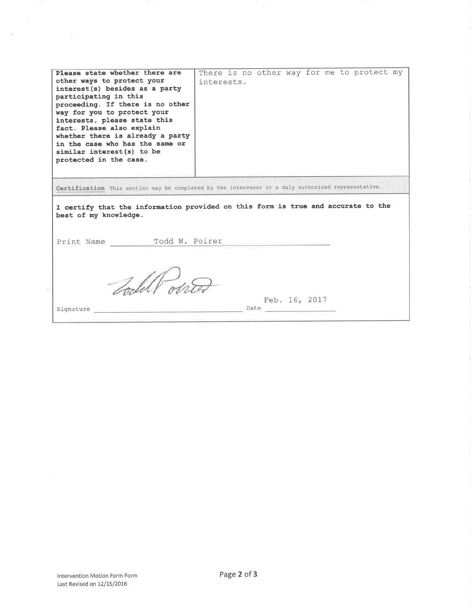| Please state whether there are<br>other ways to protect your<br>interest(s) besides as a party<br>participating in this<br>proceeding. If there is no other<br>way for you to protect your<br>interests, please state this<br>fact. Please also explain<br>whether there is already a party<br>in the case who has the same or<br>similar interest(s) to be<br>protected in the case. | There is no other way for me to protect my<br>interests. |  |
|---------------------------------------------------------------------------------------------------------------------------------------------------------------------------------------------------------------------------------------------------------------------------------------------------------------------------------------------------------------------------------------|----------------------------------------------------------|--|
| Certification This section may be completed by the intervenor or a duly authorized representative.                                                                                                                                                                                                                                                                                    |                                                          |  |
| I certify that the information provided on this form is true and accurate to the<br>best of my knowledge.                                                                                                                                                                                                                                                                             |                                                          |  |
| Print Name Todd W. Poirer                                                                                                                                                                                                                                                                                                                                                             |                                                          |  |
| Todal Par                                                                                                                                                                                                                                                                                                                                                                             |                                                          |  |
| Signature                                                                                                                                                                                                                                                                                                                                                                             | Feb. 16, 2017<br>Date                                    |  |
|                                                                                                                                                                                                                                                                                                                                                                                       |                                                          |  |

 $\sim$ 

 $\mathcal{P}$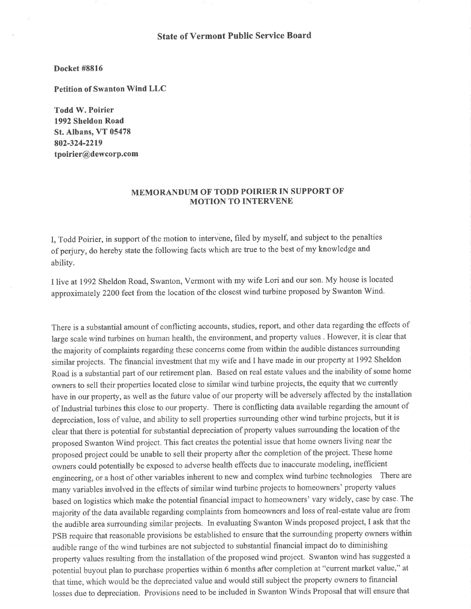# State of Vermont Public Service Board

## Docket #8816

Petition of Swanton Wind LLC

Todd W. Poirier 1992 Sheldon Road St. Albans, VT 05478 802-324-2219 tpoirier@dewcorp.com

## MEMORANDUM OF TODD POIRIER IN SUPPORT OF MOTION TO INTERVENE

I, Todd Poirier, in support of the motion to intervène, filed by myself, and subject to the penalties of perjury, do hereby state the following facts which are true to the best of my knowledge and ability.

I live at 1992 Sheldon Road, Swanton, Vermont with my wife Lori and our son. My house is located approximately 2200 feet from the location of the closest wind turbine proposed by Swanton Wind.

There is a substantial amount of conflicting accounts, studies, report, and other data regarding the effects of large scale wind turbines on human health, the environment, and property values . However, it is clear that the majority of complaints regarding these concems come from within the audible distances surrounding similar projects. The financial investment that my wife and I have made in our property at 1992 Sheldon Road is a substantial part of our retirement plan. Based on real estate values and the inability of some home owners to sell their properties located close to similar wind turbine projects, the equity that we currently have in our property, as well as the future value of our property will be adversely affected by the installation of Industrial turbines this close to our property. There is conflicting data available regarding the amount of depreciation, loss of value, and ability to sell properties surrounding other wind turbine projects, but it is clear that there is potential for substantial depreciation of property values surrounding the location of the proposed Swanton Wind project. This fact creates the potential issue that home owners living near the proposed project could be unable to sell their property after the completion of the project. These home owners could potentially be exposed to adverse health effects due to inaccurate modeling, inefficient engineering, or a host of other variables inherent to new and complex wind turbine technologies There are many variables involved in the effects of similar wind turbine projects to homeowners' property values based on logistics which make the potential financial impact to homeowners' vary widely, case by case. The majority of the data available regarding complaints from homeowners and loss of real-estate value are from the audible area surrounding similar projects. In evaluating Swanton Winds proposed project, I ask that the pSB require that reasonable provisions be established to ensure that the surrounding property owners within audible range of the wind turbines are not subjected to substantial financial impact do to diminishing property values resulting from the installation of the proposed wind project. Swanton wind has suggested <sup>a</sup> potential buyout plan to purchase properties within 6 months after completion at "current market value," at that time, which would be the depreciated value and would still subject the property owners to financial losses due to depreciation. Provisions need to be included in Swanton Winds Proposal that will ensure that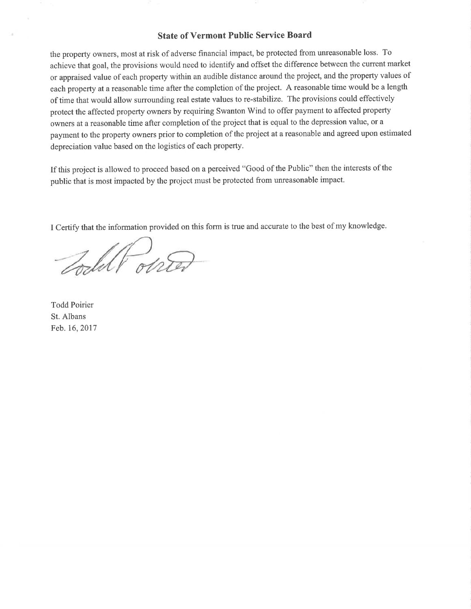### State of Vermont Public Service Board

the property owners, most at risk of adverse financial impact, be protected from unreasonable loss. To achieve that goal, the provisions would need to identify and offset the difference between the current market or appraised value of each property within an audible distance around the project, and the property values of each property at a reasonable time after the completion of the project. A reasonable time would be a length of time that would allow surrounding real estate values to re-stabilize. The provisions could effectively protect the affected property owners by requiring Swanton Wind to offer payment to affected property owners at a reasonable time after completion of the project that is equal to the depression value, or <sup>a</sup> payment to the property owners prior to completion of the project at a reasonable and agreed upon estimated depreciation value based on the logistics of each property.

If this project is allowed to proceed based on a perceived "Good of the Public" then the interests of the public that is most impacted by the project must be protected from unreasonable impact.

I Certify that the information provided on this form is true and accurate to the best of my knowledge.

Todell onter

Todd Poirier St. Albans Feb.16,2017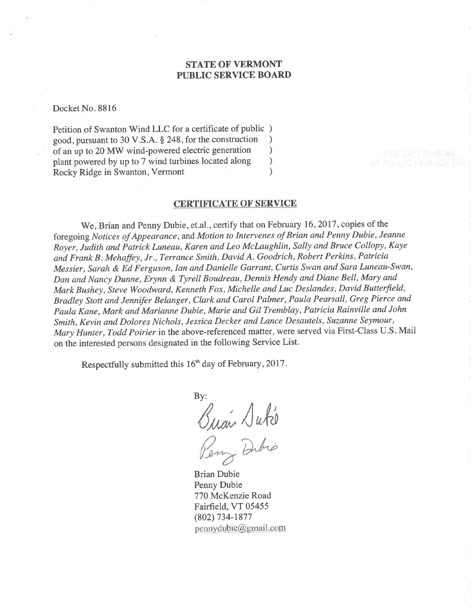# STATE OF VERMONT PUBLIC SERVICE BOARD

Docket No. 8816

Petition of Swanton Wind LLC for a certificate of public )<br>good pursuant to 30 V.S.A. § 248, for the construction good, pursuant to 30 V.S.A. § 248, for the construction <br>of an up to 20 MW wind-powered electric generation (b) of an up to 20 MW wind-powered electric generation <br>
plant powered by up to 7 wind turbines located along  $\qquad$ plant powered by up to 7 wind turbines located along ) Rocky Ridge in Swanton, Vermont (1988)

# CERTIFICATE OF SERVICE

We, Brian and Penny Dubie, et.al., certify that on February 16, 2017, copies of the foregoing Notices of Appearance, and Motion to Intervenes of Brian and Penny Dubie, Jeanne Royer, Judith and Patrick Luneau, Karen and Leo Mclaughlin, Sally and Bruce Collopy, Kaye and Frank B. Mehaffey, Jr., Terrance Smith, David A. Goodrich, Robert Perkins, Patricia Messier, Sarah & Ed Ferguson, Ian and Danielle Garrant, Curtis Swan and Sara Luneau-Swan, Dan and Nancy Dunne, Erynn & Tyrelt Boudreau, Dennis Hendy and Diane Bell, Mary and Mark Bushey, Steve Woodward, Kenneth Fox, Michelle and Luc Deslandes, David Butterfield, Bradley Stott and Jennifer Belanger, Clark and Carol Palmer, Paula Pearsall, Greg Pierce and Paula Kene, Mark and Marianne Dubie, Marie and Gil Tremblay, Patricia Rainville and John Smith, Kevin and Dolores Nichols, Jessica Decker and Lance Desautels, Suzanne Seymour, Mary Hunter, Todd Poirier in the above-referenced matter, were served via First-Class U.S. Mail on the interested persons designated in the following Service List.

Respectfully submitted this 16<sup>th</sup> day of February, 2017.

By: Buan Duke

Dibio

Brian Dubie Penny Dubie 770 McKenzie Road Fairfield, VT 05455 (802) 734-1877 pennydubie@gmail.com